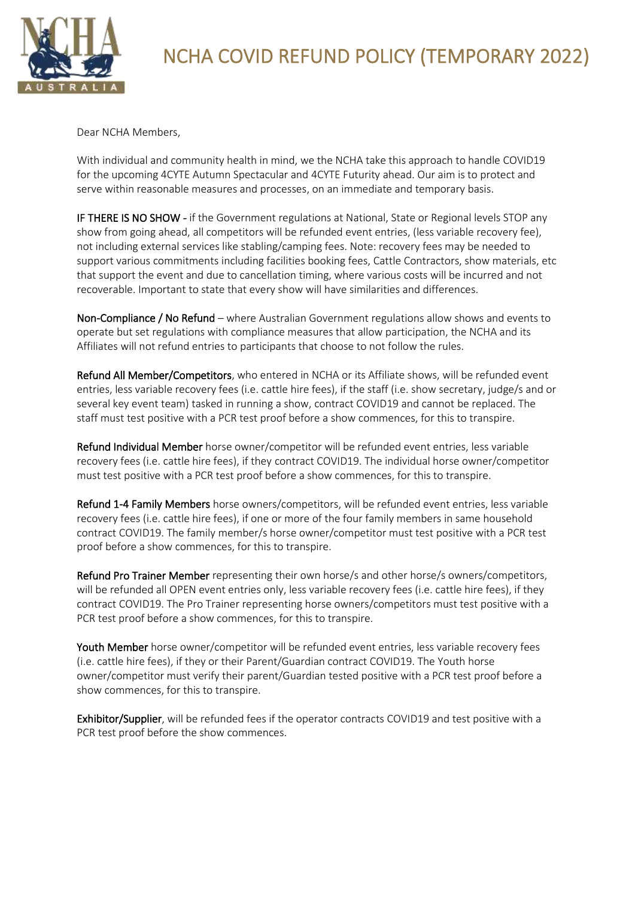

## NCHA COVID REFUND POLICY (TEMPORARY 2022)

Dear NCHA Members,

With individual and community health in mind, we the NCHA take this approach to handle COVID19 for the upcoming 4CYTE Autumn Spectacular and 4CYTE Futurity ahead. Our aim is to protect and serve within reasonable measures and processes, on an immediate and temporary basis.

IF THERE IS NO SHOW - if the Government regulations at National, State or Regional levels STOP any show from going ahead, all competitors will be refunded event entries, (less variable recovery fee), not including external services like stabling/camping fees. Note: recovery fees may be needed to support various commitments including facilities booking fees, Cattle Contractors, show materials, etc that support the event and due to cancellation timing, where various costs will be incurred and not recoverable. Important to state that every show will have similarities and differences.

Non-Compliance / No Refund – where Australian Government regulations allow shows and events to operate but set regulations with compliance measures that allow participation, the NCHA and its Affiliates will not refund entries to participants that choose to not follow the rules.

Refund All Member/Competitors, who entered in NCHA or its Affiliate shows, will be refunded event entries, less variable recovery fees (i.e. cattle hire fees), if the staff (i.e. show secretary, judge/s and or several key event team) tasked in running a show, contract COVID19 and cannot be replaced. The staff must test positive with a PCR test proof before a show commences, for this to transpire.

Refund Individual Member horse owner/competitor will be refunded event entries, less variable recovery fees (i.e. cattle hire fees), if they contract COVID19. The individual horse owner/competitor must test positive with a PCR test proof before a show commences, for this to transpire.

Refund 1-4 Family Members horse owners/competitors, will be refunded event entries, less variable recovery fees (i.e. cattle hire fees), if one or more of the four family members in same household contract COVID19. The family member/s horse owner/competitor must test positive with a PCR test proof before a show commences, for this to transpire.

Refund Pro Trainer Member representing their own horse/s and other horse/s owners/competitors, will be refunded all OPEN event entries only, less variable recovery fees (i.e. cattle hire fees), if they contract COVID19. The Pro Trainer representing horse owners/competitors must test positive with a PCR test proof before a show commences, for this to transpire.

Youth Member horse owner/competitor will be refunded event entries, less variable recovery fees (i.e. cattle hire fees), if they or their Parent/Guardian contract COVID19. The Youth horse owner/competitor must verify their parent/Guardian tested positive with a PCR test proof before a show commences, for this to transpire.

Exhibitor/Supplier, will be refunded fees if the operator contracts COVID19 and test positive with a PCR test proof before the show commences.